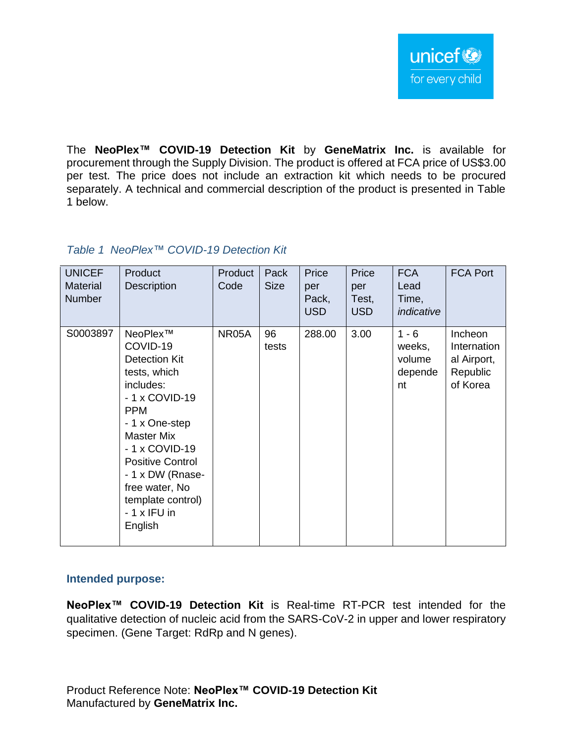The **NeoPlex™ COVID-19 Detection Kit** by **GeneMatrix Inc.** is available for procurement through the Supply Division. The product is offered at FCA price of US\$3.00 per test. The price does not include an extraction kit which needs to be procured separately. A technical and commercial description of the product is presented in Table 1 below.

## *Table 1 NeoPlex™ COVID-19 Detection Kit*

| <b>UNICEF</b><br><b>Material</b><br><b>Number</b> | Product<br><b>Description</b>                                                                                                                                                                                                                                                       | Product<br>Code | Pack<br><b>Size</b> | Price<br>per<br>Pack,<br><b>USD</b> | Price<br>per<br>Test,<br><b>USD</b> | <b>FCA</b><br>Lead<br>Time,<br>indicative    | <b>FCA Port</b>                                               |
|---------------------------------------------------|-------------------------------------------------------------------------------------------------------------------------------------------------------------------------------------------------------------------------------------------------------------------------------------|-----------------|---------------------|-------------------------------------|-------------------------------------|----------------------------------------------|---------------------------------------------------------------|
| S0003897                                          | NeoPlex™<br>COVID-19<br><b>Detection Kit</b><br>tests, which<br>includes:<br>- 1 x COVID-19<br><b>PPM</b><br>- 1 x One-step<br><b>Master Mix</b><br>- 1 x COVID-19<br><b>Positive Control</b><br>- 1 x DW (Rnase-<br>free water, No<br>template control)<br>- 1 x IFU in<br>English | NR05A           | 96<br>tests         | 288.00                              | 3.00                                | $1 - 6$<br>weeks,<br>volume<br>depende<br>nt | Incheon<br>Internation<br>al Airport,<br>Republic<br>of Korea |

#### **Intended purpose:**

**NeoPlex™ COVID-19 Detection Kit** is Real-time RT-PCR test intended for the qualitative detection of nucleic acid from the SARS-CoV-2 in upper and lower respiratory specimen. (Gene Target: RdRp and N genes).

Product Reference Note: **NeoPlex™ COVID-19 Detection Kit** Manufactured by **GeneMatrix Inc.**